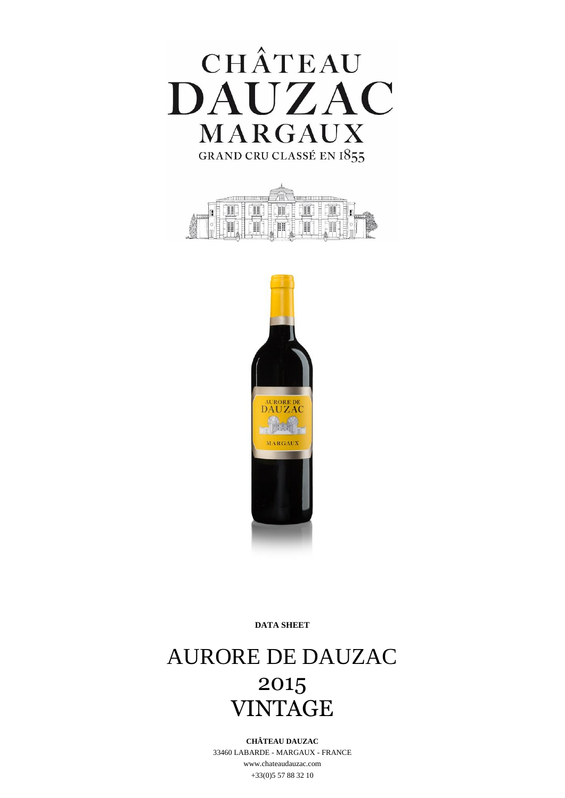





**DATA SHEET**

# AURORE DE DAUZAC 2015 VINTAGE

### **CHÂTEAU DAUZAC**

33460 LABARDE - MARGAUX - FRANCE www.chateaudauzac.com +33(0)5 57 88 32 10